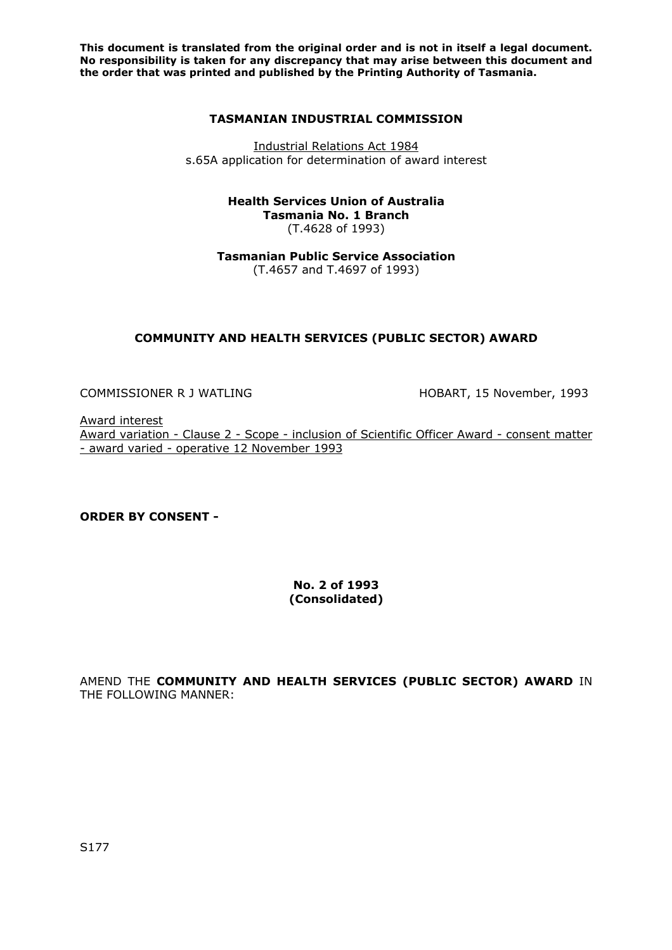**This document is translated from the original order and is not in itself a legal document. No responsibility is taken for any discrepancy that may arise between this document and the order that was printed and published by the Printing Authority of Tasmania.** 

#### **TASMANIAN INDUSTRIAL COMMISSION**

Industrial Relations Act 1984 s.65A application for determination of award interest

#### **Health Services Union of Australia Tasmania No. 1 Branch**  (T.4628 of 1993)

**Tasmanian Public Service Association**  (T.4657 and T.4697 of 1993)

# **COMMUNITY AND HEALTH SERVICES (PUBLIC SECTOR) AWARD**

COMMISSIONER R J WATLING HOBART, 15 November, 1993

Award interest Award variation - Clause 2 - Scope - inclusion of Scientific Officer Award - consent matter - award varied - operative 12 November 1993

**ORDER BY CONSENT -** 

### **No. 2 of 1993 (Consolidated)**

AMEND THE **COMMUNITY AND HEALTH SERVICES (PUBLIC SECTOR) AWARD** IN THE FOLLOWING MANNER: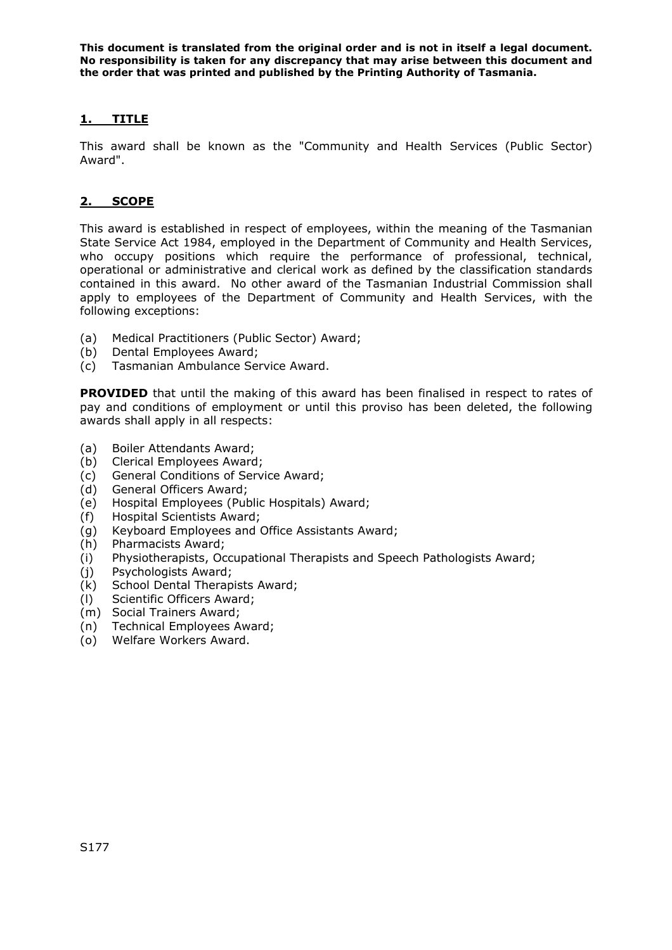**This document is translated from the original order and is not in itself a legal document. No responsibility is taken for any discrepancy that may arise between this document and the order that was printed and published by the Printing Authority of Tasmania.** 

# **1. TITLE**

This award shall be known as the "Community and Health Services (Public Sector) Award".

# **2. SCOPE**

This award is established in respect of employees, within the meaning of the Tasmanian State Service Act 1984, employed in the Department of Community and Health Services, who occupy positions which require the performance of professional, technical, operational or administrative and clerical work as defined by the classification standards contained in this award. No other award of the Tasmanian Industrial Commission shall apply to employees of the Department of Community and Health Services, with the following exceptions:

- (a) Medical Practitioners (Public Sector) Award;
- (b) Dental Employees Award;
- (c) Tasmanian Ambulance Service Award.

**PROVIDED** that until the making of this award has been finalised in respect to rates of pay and conditions of employment or until this proviso has been deleted, the following awards shall apply in all respects:

- (a) Boiler Attendants Award;
- (b) Clerical Employees Award;
- (c) General Conditions of Service Award;
- (d) General Officers Award;
- (e) Hospital Employees (Public Hospitals) Award;
- (f) Hospital Scientists Award;
- (g) Keyboard Employees and Office Assistants Award;
- (h) Pharmacists Award;
- (i) Physiotherapists, Occupational Therapists and Speech Pathologists Award;
- (j) Psychologists Award;
- (k) School Dental Therapists Award;
- (l) Scientific Officers Award;
- (m) Social Trainers Award;
- (n) Technical Employees Award;
- (o) Welfare Workers Award.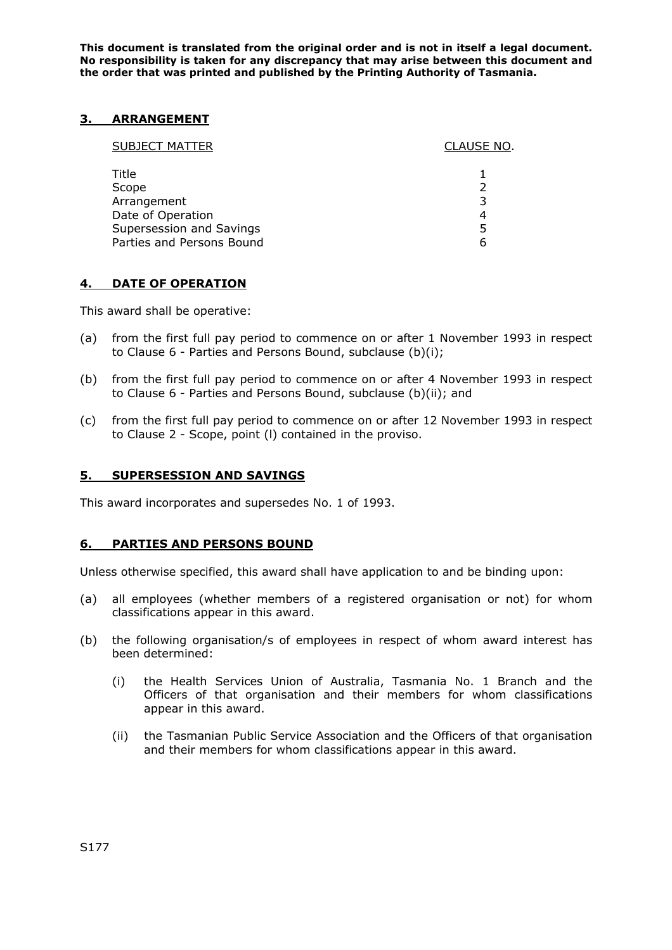**This document is translated from the original order and is not in itself a legal document. No responsibility is taken for any discrepancy that may arise between this document and the order that was printed and published by the Printing Authority of Tasmania.** 

### **3. ARRANGEMENT**

| <b>SUBJECT MATTER</b>     | CLAUSE NO. |
|---------------------------|------------|
| Title                     |            |
| Scope                     |            |
| Arrangement               |            |
| Date of Operation         |            |
| Supersession and Savings  | 5          |
| Parties and Persons Bound | h          |
|                           |            |

### **4. DATE OF OPERATION**

This award shall be operative:

- (a) from the first full pay period to commence on or after 1 November 1993 in respect to Clause 6 - Parties and Persons Bound, subclause (b)(i);
- (b) from the first full pay period to commence on or after 4 November 1993 in respect to Clause 6 - Parties and Persons Bound, subclause (b)(ii); and
- (c) from the first full pay period to commence on or after 12 November 1993 in respect to Clause 2 - Scope, point (l) contained in the proviso.

### **5. SUPERSESSION AND SAVINGS**

This award incorporates and supersedes No. 1 of 1993.

### **6. PARTIES AND PERSONS BOUND**

Unless otherwise specified, this award shall have application to and be binding upon:

- (a) all employees (whether members of a registered organisation or not) for whom classifications appear in this award.
- (b) the following organisation/s of employees in respect of whom award interest has been determined:
	- (i) the Health Services Union of Australia, Tasmania No. 1 Branch and the Officers of that organisation and their members for whom classifications appear in this award.
	- (ii) the Tasmanian Public Service Association and the Officers of that organisation and their members for whom classifications appear in this award.